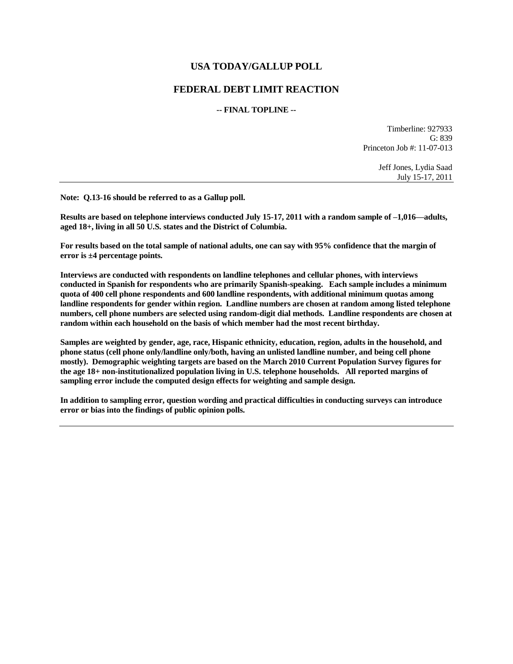# **USA TODAY/GALLUP POLL**

# **FEDERAL DEBT LIMIT REACTION**

#### **-- FINAL TOPLINE --**

Timberline: 927933 G: 839 Princeton Job #: 11-07-013

> Jeff Jones, Lydia Saad July 15-17, 2011

**Note: Q.13-16 should be referred to as a Gallup poll.** 

**Results are based on telephone interviews conducted July 15-17, 2011 with a random sample of –1,016—adults, aged 18+, living in all 50 U.S. states and the District of Columbia.** 

**For results based on the total sample of national adults, one can say with 95% confidence that the margin of error is ±4 percentage points.**

**Interviews are conducted with respondents on landline telephones and cellular phones, with interviews conducted in Spanish for respondents who are primarily Spanish-speaking. Each sample includes a minimum quota of 400 cell phone respondents and 600 landline respondents, with additional minimum quotas among landline respondents for gender within region. Landline numbers are chosen at random among listed telephone numbers, cell phone numbers are selected using random-digit dial methods. Landline respondents are chosen at random within each household on the basis of which member had the most recent birthday.** 

**Samples are weighted by gender, age, race, Hispanic ethnicity, education, region, adults in the household, and phone status (cell phone only/landline only/both, having an unlisted landline number, and being cell phone mostly). Demographic weighting targets are based on the March 2010 Current Population Survey figures for the age 18+ non-institutionalized population living in U.S. telephone households. All reported margins of sampling error include the computed design effects for weighting and sample design.** 

**In addition to sampling error, question wording and practical difficulties in conducting surveys can introduce error or bias into the findings of public opinion polls.**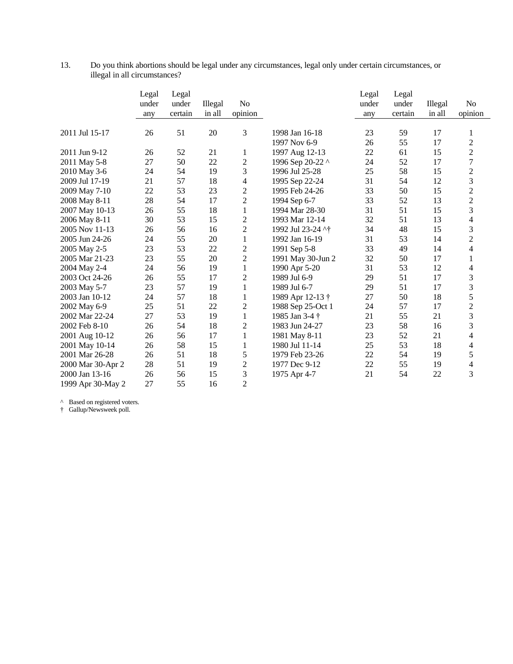| Do you think abortions should be legal under any circumstances, legal only under certain circumstances, or |
|------------------------------------------------------------------------------------------------------------|
| illegal in all circumstances?                                                                              |

|                   | Legal<br>under<br>any | Legal<br>under<br>certain | Illegal<br>in all | N <sub>o</sub><br>opinion |                   | Legal<br>under<br>any | Legal<br>under<br>certain | Illegal<br>in all | N <sub>o</sub><br>opinion |
|-------------------|-----------------------|---------------------------|-------------------|---------------------------|-------------------|-----------------------|---------------------------|-------------------|---------------------------|
| 2011 Jul 15-17    | 26                    | 51                        | 20                | 3                         | 1998 Jan 16-18    | 23                    | 59                        | 17                | 1                         |
|                   |                       |                           |                   |                           | 1997 Nov 6-9      | 26                    | 55                        | 17                | $\overline{2}$            |
| 2011 Jun 9-12     | 26                    | 52                        | 21                | 1                         | 1997 Aug 12-13    | 22                    | 61                        | 15                | $\overline{2}$            |
| 2011 May 5-8      | 27                    | 50                        | 22                | $\overline{c}$            | 1996 Sep 20-22 ^  | 24                    | 52                        | 17                | $\overline{7}$            |
| 2010 May 3-6      | 24                    | 54                        | 19                | 3                         | 1996 Jul 25-28    | 25                    | 58                        | 15                | $\overline{2}$            |
| 2009 Jul 17-19    | 21                    | 57                        | 18                | 4                         | 1995 Sep 22-24    | 31                    | 54                        | 12                | 3                         |
| 2009 May 7-10     | 22                    | 53                        | 23                | $\overline{c}$            | 1995 Feb 24-26    | 33                    | 50                        | 15                | $\overline{2}$            |
| 2008 May 8-11     | 28                    | 54                        | 17                | $\overline{2}$            | 1994 Sep 6-7      | 33                    | 52                        | 13                | $\overline{c}$            |
| 2007 May 10-13    | 26                    | 55                        | 18                | $\mathbf{1}$              | 1994 Mar 28-30    | 31                    | 51                        | 15                | 3                         |
| 2006 May 8-11     | 30                    | 53                        | 15                | $\overline{c}$            | 1993 Mar 12-14    | 32                    | 51                        | 13                | 4                         |
| 2005 Nov 11-13    | 26                    | 56                        | 16                | $\overline{2}$            | 1992 Jul 23-24 ^† | 34                    | 48                        | 15                | 3                         |
| 2005 Jun 24-26    | 24                    | 55                        | 20                | $\mathbf{1}$              | 1992 Jan 16-19    | 31                    | 53                        | 14                | $\overline{c}$            |
| 2005 May 2-5      | 23                    | 53                        | 22                | $\overline{c}$            | 1991 Sep 5-8      | 33                    | 49                        | 14                | 4                         |
| 2005 Mar 21-23    | 23                    | 55                        | 20                | $\overline{2}$            | 1991 May 30-Jun 2 | 32                    | 50                        | 17                | 1                         |
| 2004 May 2-4      | 24                    | 56                        | 19                | $\mathbf{1}$              | 1990 Apr 5-20     | 31                    | 53                        | 12                | 4                         |
| 2003 Oct 24-26    | 26                    | 55                        | 17                | 2                         | 1989 Jul 6-9      | 29                    | 51                        | 17                | 3                         |
| 2003 May 5-7      | 23                    | 57                        | 19                | $\mathbf{1}$              | 1989 Jul 6-7      | 29                    | 51                        | 17                | $\overline{3}$            |
| 2003 Jan 10-12    | 24                    | 57                        | 18                | $\mathbf{1}$              | 1989 Apr 12-13 †  | 27                    | 50                        | 18                | 5                         |
| 2002 May 6-9      | 25                    | 51                        | 22                | $\overline{c}$            | 1988 Sep 25-Oct 1 | 24                    | 57                        | 17                | $\overline{2}$            |
| 2002 Mar 22-24    | 27                    | 53                        | 19                | $\mathbf{1}$              | 1985 Jan 3-4 †    | 21                    | 55                        | 21                | 3                         |
| 2002 Feb 8-10     | 26                    | 54                        | 18                | $\overline{2}$            | 1983 Jun 24-27    | 23                    | 58                        | 16                | 3                         |
| 2001 Aug 10-12    | 26                    | 56                        | 17                | $\mathbf{1}$              | 1981 May 8-11     | 23                    | 52                        | 21                | 4                         |
| 2001 May 10-14    | 26                    | 58                        | 15                | $\mathbf{1}$              | 1980 Jul 11-14    | 25                    | 53                        | 18                | 4                         |
| 2001 Mar 26-28    | 26                    | 51                        | 18                | 5                         | 1979 Feb 23-26    | 22                    | 54                        | 19                | 5                         |
| 2000 Mar 30-Apr 2 | 28                    | 51                        | 19                | $\overline{2}$            | 1977 Dec 9-12     | 22                    | 55                        | 19                | 4                         |
| 2000 Jan 13-16    | 26                    | 56                        | 15                | 3                         | 1975 Apr 4-7      | 21                    | 54                        | 22                | 3                         |
| 1999 Apr 30-May 2 | 27                    | 55                        | 16                | $\overline{2}$            |                   |                       |                           |                   |                           |

^ Based on registered voters.

† Gallup/Newsweek poll.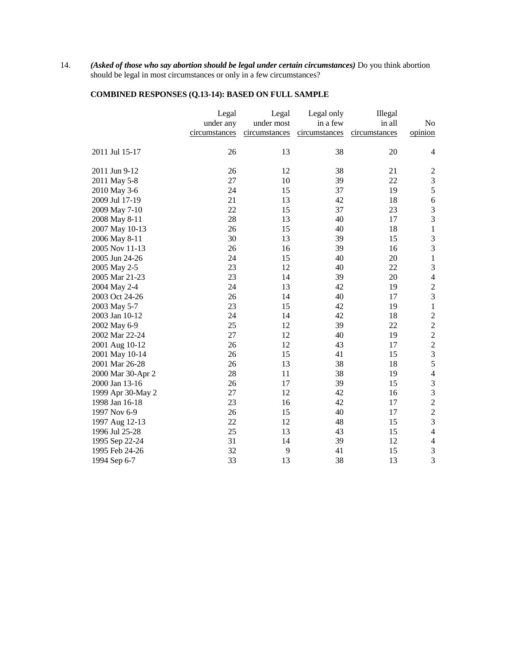14. *(Asked of those who say abortion should be legal under certain circumstances)* Do you think abortion should be legal in most circumstances or only in a few circumstances?

# **COMBINED RESPONSES (Q.13-14): BASED ON FULL SAMPLE**

| in a few<br>in all<br>under any<br>under most<br>No<br>opinion<br>circumstances<br>circumstances<br>circumstances<br>circumstances<br>2011 Jul 15-17<br>26<br>13<br>38<br>20<br>$\overline{4}$<br>38<br>$\boldsymbol{2}$<br>2011 Jun 9-12<br>26<br>12<br>21<br>$\mathfrak{Z}$<br>27<br>22<br>2011 May 5-8<br>10<br>39<br>5<br>15<br>19<br>24<br>37<br>2010 May 3-6<br>$\overline{6}$<br>21<br>13<br>42<br>18<br>2009 Jul 17-19<br>3<br>22<br>15<br>37<br>23<br>2009 May 7-10<br>3<br>28<br>40<br>17<br>13<br>2008 May 8-11<br>$\mathbf{1}$<br>26<br>15<br>40<br>18<br>2007 May 10-13<br>$\mathfrak{Z}$<br>30<br>39<br>15<br>13<br>2006 May 8-11<br>3<br>26<br>39<br>2005 Nov 11-13<br>16<br>16<br>20<br>$\,1\,$<br>2005 Jun 24-26<br>24<br>15<br>40<br>$\mathfrak{Z}$<br>23<br>22<br>2005 May 2-5<br>12<br>40<br>20<br>$\overline{4}$<br>23<br>39<br>2005 Mar 21-23<br>14<br>$\overline{c}$<br>24<br>13<br>42<br>19<br>2004 May 2-4 |                | Legal | Legal | Legal only | Illegal |   |
|-------------------------------------------------------------------------------------------------------------------------------------------------------------------------------------------------------------------------------------------------------------------------------------------------------------------------------------------------------------------------------------------------------------------------------------------------------------------------------------------------------------------------------------------------------------------------------------------------------------------------------------------------------------------------------------------------------------------------------------------------------------------------------------------------------------------------------------------------------------------------------------------------------------------------------------|----------------|-------|-------|------------|---------|---|
|                                                                                                                                                                                                                                                                                                                                                                                                                                                                                                                                                                                                                                                                                                                                                                                                                                                                                                                                     |                |       |       |            |         |   |
|                                                                                                                                                                                                                                                                                                                                                                                                                                                                                                                                                                                                                                                                                                                                                                                                                                                                                                                                     |                |       |       |            |         |   |
|                                                                                                                                                                                                                                                                                                                                                                                                                                                                                                                                                                                                                                                                                                                                                                                                                                                                                                                                     |                |       |       |            |         |   |
|                                                                                                                                                                                                                                                                                                                                                                                                                                                                                                                                                                                                                                                                                                                                                                                                                                                                                                                                     |                |       |       |            |         |   |
|                                                                                                                                                                                                                                                                                                                                                                                                                                                                                                                                                                                                                                                                                                                                                                                                                                                                                                                                     |                |       |       |            |         |   |
|                                                                                                                                                                                                                                                                                                                                                                                                                                                                                                                                                                                                                                                                                                                                                                                                                                                                                                                                     |                |       |       |            |         |   |
|                                                                                                                                                                                                                                                                                                                                                                                                                                                                                                                                                                                                                                                                                                                                                                                                                                                                                                                                     |                |       |       |            |         |   |
|                                                                                                                                                                                                                                                                                                                                                                                                                                                                                                                                                                                                                                                                                                                                                                                                                                                                                                                                     |                |       |       |            |         |   |
|                                                                                                                                                                                                                                                                                                                                                                                                                                                                                                                                                                                                                                                                                                                                                                                                                                                                                                                                     |                |       |       |            |         |   |
|                                                                                                                                                                                                                                                                                                                                                                                                                                                                                                                                                                                                                                                                                                                                                                                                                                                                                                                                     |                |       |       |            |         |   |
|                                                                                                                                                                                                                                                                                                                                                                                                                                                                                                                                                                                                                                                                                                                                                                                                                                                                                                                                     |                |       |       |            |         |   |
|                                                                                                                                                                                                                                                                                                                                                                                                                                                                                                                                                                                                                                                                                                                                                                                                                                                                                                                                     |                |       |       |            |         |   |
|                                                                                                                                                                                                                                                                                                                                                                                                                                                                                                                                                                                                                                                                                                                                                                                                                                                                                                                                     |                |       |       |            |         |   |
|                                                                                                                                                                                                                                                                                                                                                                                                                                                                                                                                                                                                                                                                                                                                                                                                                                                                                                                                     |                |       |       |            |         |   |
|                                                                                                                                                                                                                                                                                                                                                                                                                                                                                                                                                                                                                                                                                                                                                                                                                                                                                                                                     |                |       |       |            |         |   |
|                                                                                                                                                                                                                                                                                                                                                                                                                                                                                                                                                                                                                                                                                                                                                                                                                                                                                                                                     |                |       |       |            |         |   |
|                                                                                                                                                                                                                                                                                                                                                                                                                                                                                                                                                                                                                                                                                                                                                                                                                                                                                                                                     |                |       |       |            |         |   |
|                                                                                                                                                                                                                                                                                                                                                                                                                                                                                                                                                                                                                                                                                                                                                                                                                                                                                                                                     |                |       |       |            |         |   |
|                                                                                                                                                                                                                                                                                                                                                                                                                                                                                                                                                                                                                                                                                                                                                                                                                                                                                                                                     | 2003 Oct 24-26 | 26    | 14    | 40         | 17      | 3 |
| 23<br>15<br>42<br>19<br>$\,1\,$<br>2003 May 5-7                                                                                                                                                                                                                                                                                                                                                                                                                                                                                                                                                                                                                                                                                                                                                                                                                                                                                     |                |       |       |            |         |   |
| 24<br>42<br>18<br>2003 Jan 10-12<br>14                                                                                                                                                                                                                                                                                                                                                                                                                                                                                                                                                                                                                                                                                                                                                                                                                                                                                              |                |       |       |            |         |   |
| $\frac{2}{2}$<br>12<br>39<br>22<br>25<br>2002 May 6-9                                                                                                                                                                                                                                                                                                                                                                                                                                                                                                                                                                                                                                                                                                                                                                                                                                                                               |                |       |       |            |         |   |
| $\overline{\mathbf{c}}$<br>12<br>40<br>19<br>2002 Mar 22-24<br>27                                                                                                                                                                                                                                                                                                                                                                                                                                                                                                                                                                                                                                                                                                                                                                                                                                                                   |                |       |       |            |         |   |
| $\overline{c}$<br>12<br>43<br>17<br>26<br>2001 Aug 10-12                                                                                                                                                                                                                                                                                                                                                                                                                                                                                                                                                                                                                                                                                                                                                                                                                                                                            |                |       |       |            |         |   |
| 3<br>26<br>15<br>41<br>15<br>2001 May 10-14                                                                                                                                                                                                                                                                                                                                                                                                                                                                                                                                                                                                                                                                                                                                                                                                                                                                                         |                |       |       |            |         |   |
| 5<br>13<br>38<br>18<br>2001 Mar 26-28<br>26                                                                                                                                                                                                                                                                                                                                                                                                                                                                                                                                                                                                                                                                                                                                                                                                                                                                                         |                |       |       |            |         |   |
| 28<br>38<br>19<br>$\overline{4}$<br>2000 Mar 30-Apr 2<br>11                                                                                                                                                                                                                                                                                                                                                                                                                                                                                                                                                                                                                                                                                                                                                                                                                                                                         |                |       |       |            |         |   |
| $\mathfrak{Z}$<br>26<br>17<br>39<br>15<br>2000 Jan 13-16                                                                                                                                                                                                                                                                                                                                                                                                                                                                                                                                                                                                                                                                                                                                                                                                                                                                            |                |       |       |            |         |   |
| 3<br>12<br>27<br>42<br>1999 Apr 30-May 2<br>16                                                                                                                                                                                                                                                                                                                                                                                                                                                                                                                                                                                                                                                                                                                                                                                                                                                                                      |                |       |       |            |         |   |
| $\overline{c}$<br>23<br>42<br>17<br>16<br>1998 Jan 16-18                                                                                                                                                                                                                                                                                                                                                                                                                                                                                                                                                                                                                                                                                                                                                                                                                                                                            |                |       |       |            |         |   |
| $\overline{c}$<br>15<br>40<br>17<br>1997 Nov 6-9<br>26                                                                                                                                                                                                                                                                                                                                                                                                                                                                                                                                                                                                                                                                                                                                                                                                                                                                              |                |       |       |            |         |   |
| 3<br>22<br>12<br>48<br>15<br>1997 Aug 12-13                                                                                                                                                                                                                                                                                                                                                                                                                                                                                                                                                                                                                                                                                                                                                                                                                                                                                         |                |       |       |            |         |   |
| 25<br>13<br>$\overline{4}$<br>43<br>15<br>1996 Jul 25-28                                                                                                                                                                                                                                                                                                                                                                                                                                                                                                                                                                                                                                                                                                                                                                                                                                                                            |                |       |       |            |         |   |
| 31<br>39<br>$\overline{4}$<br>1995 Sep 22-24<br>14<br>12                                                                                                                                                                                                                                                                                                                                                                                                                                                                                                                                                                                                                                                                                                                                                                                                                                                                            |                |       |       |            |         |   |
| 3<br>1995 Feb 24-26<br>32<br>9<br>41<br>15                                                                                                                                                                                                                                                                                                                                                                                                                                                                                                                                                                                                                                                                                                                                                                                                                                                                                          |                |       |       |            |         |   |
| 3<br>33<br>13<br>38<br>13<br>1994 Sep 6-7                                                                                                                                                                                                                                                                                                                                                                                                                                                                                                                                                                                                                                                                                                                                                                                                                                                                                           |                |       |       |            |         |   |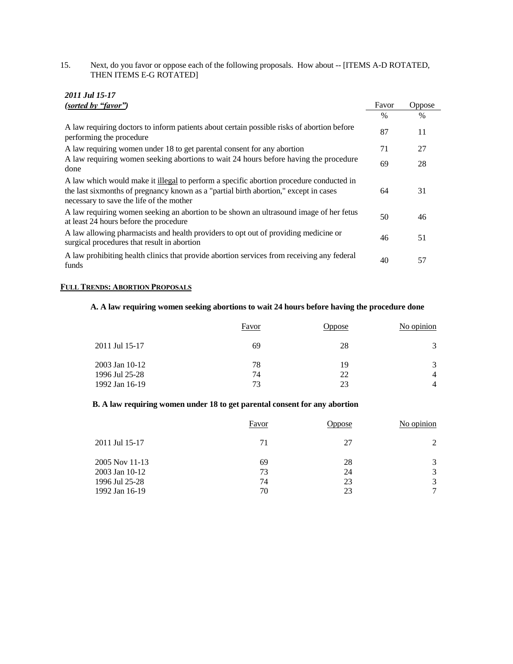15. Next, do you favor or oppose each of the following proposals. How about -- [ITEMS A-D ROTATED, THEN ITEMS E-G ROTATED]

| 2011 Jul 15-17<br>(sorted by "favor")                                                                                                                                                                                       | Favor         | <b>Oppose</b> |
|-----------------------------------------------------------------------------------------------------------------------------------------------------------------------------------------------------------------------------|---------------|---------------|
|                                                                                                                                                                                                                             | $\frac{0}{0}$ | $\%$          |
| A law requiring doctors to inform patients about certain possible risks of abortion before<br>performing the procedure                                                                                                      | 87            | 11            |
| A law requiring women under 18 to get parental consent for any abortion                                                                                                                                                     | 71            | 27            |
| A law requiring women seeking abortions to wait 24 hours before having the procedure<br>done                                                                                                                                | 69            | 28            |
| A law which would make it illegal to perform a specific abortion procedure conducted in<br>the last sixmonths of pregnancy known as a "partial birth abortion," except in cases<br>necessary to save the life of the mother | 64            | 31            |
| A law requiring women seeking an abortion to be shown an ultrasound image of her fetus<br>at least 24 hours before the procedure                                                                                            | 50            | 46            |
| A law allowing pharmacists and health providers to opt out of providing medicine or<br>surgical procedures that result in abortion                                                                                          | 46            | 51            |
| A law prohibiting health clinics that provide abortion services from receiving any federal<br>funds                                                                                                                         | 40            | 57            |

## **FULL TRENDS: ABORTION PROPOSALS**

### **A. A law requiring women seeking abortions to wait 24 hours before having the procedure done**

|                                                    | Favor          | <b>Jppose</b>  | No opinion  |
|----------------------------------------------------|----------------|----------------|-------------|
| 2011 Jul 15-17                                     | 69             | 28             | 3           |
| 2003 Jan 10-12<br>1996 Jul 25-28<br>1992 Jan 16-19 | 78<br>74<br>73 | 19<br>22<br>23 | 3<br>4<br>4 |

### **B. A law requiring women under 18 to get parental consent for any abortion**

|                | Favor | Oppose | No opinion |
|----------------|-------|--------|------------|
| 2011 Jul 15-17 | 71    | 27     | 2          |
| 2005 Nov 11-13 | 69    | 28     | 3          |
| 2003 Jan 10-12 | 73    | 24     | 3          |
| 1996 Jul 25-28 | 74    | 23     | 3          |
| 1992 Jan 16-19 | 70    | 23     | $\tau$     |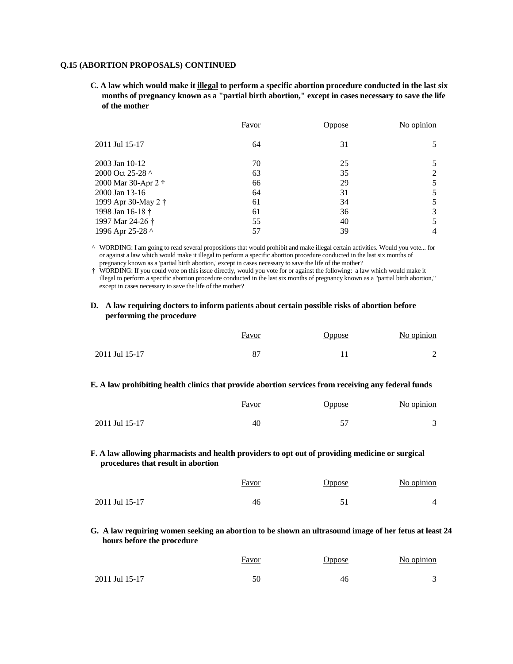#### **Q.15 (ABORTION PROPOSALS) CONTINUED**

**C. A law which would make it illegal to perform a specific abortion procedure conducted in the last six months of pregnancy known as a "partial birth abortion," except in cases necessary to save the life of the mother**

|                     | <b>Favor</b> | <b>Oppose</b> | No opinion |
|---------------------|--------------|---------------|------------|
| 2011 Jul 15-17      | 64           | 31            |            |
| 2003 Jan 10-12      | 70           | 25            |            |
| 2000 Oct 25-28 ^    | 63           | 35            | 2          |
| 2000 Mar 30-Apr 2 † | 66           | 29            |            |
| 2000 Jan 13-16      | 64           | 31            |            |
| 1999 Apr 30-May 2 † | 61           | 34            |            |
| 1998 Jan 16-18 †    | 61           | 36            | 3          |
| 1997 Mar 24-26 †    | 55           | 40            |            |
| 1996 Apr 25-28 ^    | 57           | 39            |            |

^ WORDING: I am going to read several propositions that would prohibit and make illegal certain activities. Would you vote... for or against a law which would make it illegal to perform a specific abortion procedure conducted in the last six months of pregnancy known as a 'partial birth abortion,' except in cases necessary to save the life of the mother?

† WORDING: If you could vote on this issue directly, would you vote for or against the following: a law which would make it illegal to perform a specific abortion procedure conducted in the last six months of pregnancy known as a "partial birth abortion," except in cases necessary to save the life of the mother?

#### **D. A law requiring doctors to inform patients about certain possible risks of abortion before performing the procedure**

|                | Favor | <b>Jppose</b> | No opinion |
|----------------|-------|---------------|------------|
| 2011 Jul 15-17 |       |               |            |

#### **E. A law prohibiting health clinics that provide abortion services from receiving any federal funds**

|                | Favor | Oppose | No opinion |
|----------------|-------|--------|------------|
| 2011 Jul 15-17 | 40    |        | $\sim$     |

**F. A law allowing pharmacists and health providers to opt out of providing medicine or surgical procedures that result in abortion**

|                | <u>Favor</u> | Jppose | No opinion |
|----------------|--------------|--------|------------|
| 2011 Jul 15-17 | 46           |        |            |

**G. A law requiring women seeking an abortion to be shown an ultrasound image of her fetus at least 24 hours before the procedure**

|                | Favor<br><u> The Communication of the Communication of the Communication of the Communication of the Communication of the Communication of the Communication of the Communication of the Communication of the Communication of the Commun</u> | Jppose | No opinion |
|----------------|-----------------------------------------------------------------------------------------------------------------------------------------------------------------------------------------------------------------------------------------------|--------|------------|
| 2011 Jul 15-17 |                                                                                                                                                                                                                                               | 46     | ⌒          |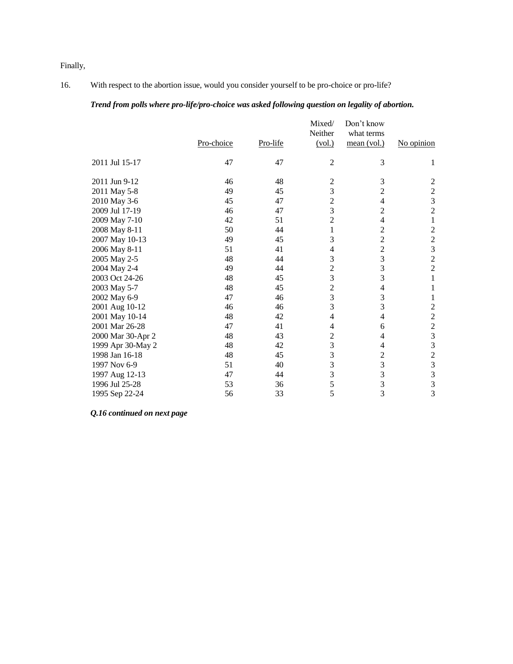Finally,

### 16. With respect to the abortion issue, would you consider yourself to be pro-choice or pro-life?

### *Trend from polls where pro-life/pro-choice was asked following question on legality of abortion.*

|    |            | Mixed/         | Don't know                                                                                                 |                                                  |
|----|------------|----------------|------------------------------------------------------------------------------------------------------------|--------------------------------------------------|
|    |            |                |                                                                                                            |                                                  |
|    |            |                |                                                                                                            | No opinion                                       |
| 47 | 47         | $\mathfrak{2}$ | 3                                                                                                          | 1                                                |
| 46 | 48         | $\overline{c}$ | 3                                                                                                          | $\sqrt{2}$                                       |
| 49 | 45         | 3              | $\overline{2}$                                                                                             |                                                  |
| 45 | 47         | $\overline{c}$ | 4                                                                                                          | $\frac{2}{3}$                                    |
| 46 | 47         | 3              | $\overline{c}$                                                                                             | $\overline{c}$                                   |
| 42 | 51         | $\overline{c}$ | 4                                                                                                          | $\mathbf{1}$                                     |
| 50 | 44         | $\mathbf{1}$   | $\overline{c}$                                                                                             | $\overline{c}$                                   |
| 49 | 45         | 3              | $\overline{2}$                                                                                             | $\frac{2}{3}$                                    |
| 51 | 41         | 4              | $\overline{2}$                                                                                             |                                                  |
| 48 | 44         | 3              | 3                                                                                                          | $\overline{c}$                                   |
| 49 | 44         |                | 3                                                                                                          | $\overline{c}$                                   |
| 48 | 45         |                | 3                                                                                                          | $\mathbf{1}$                                     |
| 48 | 45         |                | 4                                                                                                          | 1                                                |
| 47 | 46         |                | 3                                                                                                          | 1                                                |
| 46 | 46         |                |                                                                                                            | $\sqrt{2}$                                       |
| 48 | 42         | $\overline{4}$ | 4                                                                                                          | $\overline{c}$                                   |
| 47 | 41         | $\overline{4}$ | 6                                                                                                          | $\frac{2}{3}$                                    |
| 48 | 43         | $\overline{c}$ | 4                                                                                                          |                                                  |
| 48 | 42         |                | 4                                                                                                          | 3                                                |
| 48 | 45         |                | $\overline{c}$                                                                                             | $\overline{c}$                                   |
| 51 | 40         |                |                                                                                                            | $\overline{\mathbf{3}}$                          |
| 47 | 44         |                | 3                                                                                                          | 3                                                |
| 53 | 36         | 5              | 3                                                                                                          | 3                                                |
| 56 | 33         |                | 3                                                                                                          | 3                                                |
|    | Pro-choice | Pro-life       | Neither<br>(vol.)<br>$\overline{2}$<br>3<br>$\overline{c}$<br>3<br>$\overline{3}$<br>3<br>3<br>3<br>3<br>5 | what terms<br>mean (vol.)<br>3<br>$\overline{3}$ |

*Q.16 continued on next page*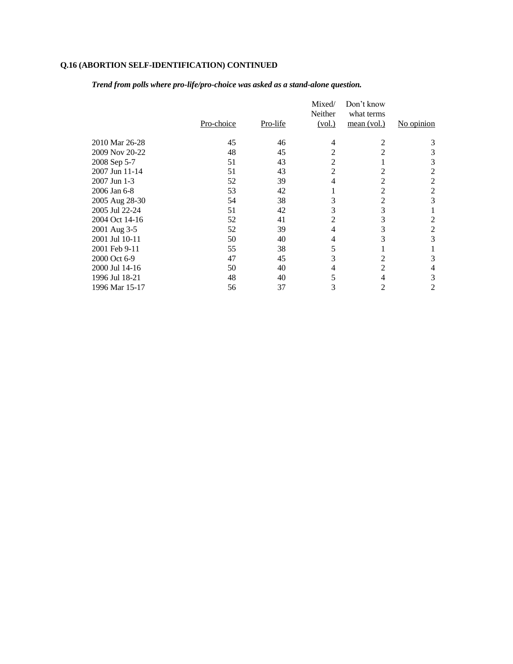# **Q.16 (ABORTION SELF-IDENTIFICATION) CONTINUED**

*Trend from polls where pro-life/pro-choice was asked as a stand-alone question.* 

|                |            |          | Mixed/<br>Neither | Don't know<br>what terms |                |
|----------------|------------|----------|-------------------|--------------------------|----------------|
|                | Pro-choice | Pro-life | (vol.)            | mean (vol.)              | No opinion     |
| 2010 Mar 26-28 | 45         | 46       | 4                 | 2                        | 3              |
| 2009 Nov 20-22 | 48         | 45       | 2                 | 2                        | 3              |
| 2008 Sep 5-7   | 51         | 43       | $\overline{2}$    |                          | 3              |
| 2007 Jun 11-14 | 51         | 43       | 2                 |                          | 2              |
| 2007 Jun 1-3   | 52         | 39       | $\overline{4}$    |                          | 2              |
| 2006 Jan 6-8   | 53         | 42       |                   |                          | $\overline{2}$ |
| 2005 Aug 28-30 | 54         | 38       | 3                 |                          | 3              |
| 2005 Jul 22-24 | 51         | 42       | 3                 | 3                        |                |
| 2004 Oct 14-16 | 52         | 41       | 2                 | 3                        | 2              |
| 2001 Aug 3-5   | 52         | 39       | $\overline{4}$    | 3                        | 2              |
| 2001 Jul 10-11 | 50         | 40       | 4                 |                          | 3              |
| 2001 Feb 9-11  | 55         | 38       | 5                 |                          |                |
| 2000 Oct 6-9   | 47         | 45       | 3                 |                          | 3              |
| 2000 Jul 14-16 | 50         | 40       | 4                 |                          | 4              |
| 1996 Jul 18-21 | 48         | 40       | 5                 |                          | 3              |
| 1996 Mar 15-17 | 56         | 37       | 3                 | 2                        | 2              |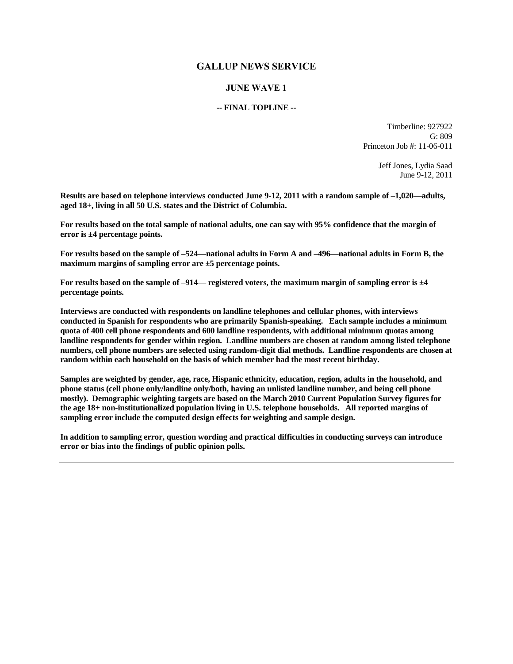## **GALLUP NEWS SERVICE**

# **JUNE WAVE 1**

#### **-- FINAL TOPLINE --**

Timberline: 927922  $G: 809$ Princeton Job #: 11-06-011

> Jeff Jones, Lydia Saad June 9-12, 2011

**Results are based on telephone interviews conducted June 9-12, 2011 with a random sample of –1,020—adults, aged 18+, living in all 50 U.S. states and the District of Columbia.** 

**For results based on the total sample of national adults, one can say with 95% confidence that the margin of error is ±4 percentage points.**

**For results based on the sample of –524—national adults in Form A and –496—national adults in Form B, the maximum margins of sampling error are ±5 percentage points.**

**For results based on the sample of –914— registered voters, the maximum margin of sampling error is ±4 percentage points.**

**Interviews are conducted with respondents on landline telephones and cellular phones, with interviews conducted in Spanish for respondents who are primarily Spanish-speaking. Each sample includes a minimum quota of 400 cell phone respondents and 600 landline respondents, with additional minimum quotas among landline respondents for gender within region. Landline numbers are chosen at random among listed telephone numbers, cell phone numbers are selected using random-digit dial methods. Landline respondents are chosen at random within each household on the basis of which member had the most recent birthday.** 

**Samples are weighted by gender, age, race, Hispanic ethnicity, education, region, adults in the household, and phone status (cell phone only/landline only/both, having an unlisted landline number, and being cell phone mostly). Demographic weighting targets are based on the March 2010 Current Population Survey figures for the age 18+ non-institutionalized population living in U.S. telephone households. All reported margins of sampling error include the computed design effects for weighting and sample design.** 

**In addition to sampling error, question wording and practical difficulties in conducting surveys can introduce error or bias into the findings of public opinion polls.**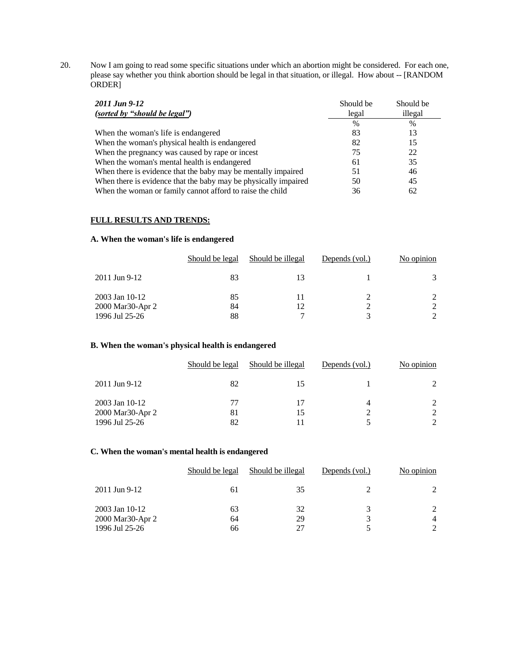20. Now I am going to read some specific situations under which an abortion might be considered. For each one, please say whether you think abortion should be legal in that situation, or illegal. How about -- [RANDOM ORDER]

| 2011 Jun 9-12                                                   | Should be | Should be |
|-----------------------------------------------------------------|-----------|-----------|
| (sorted by "should be legal")                                   | legal     | illegal   |
|                                                                 | $\%$      | %         |
| When the woman's life is endangered                             | 83        | 13        |
| When the woman's physical health is endangered                  | 82        | 15        |
| When the pregnancy was caused by rape or incest                 | 75        | 22        |
| When the woman's mental health is endangered                    | 61        | 35        |
| When there is evidence that the baby may be mentally impaired   | 51        | 46        |
| When there is evidence that the baby may be physically impaired | 50        | 45        |
| When the woman or family cannot afford to raise the child       | 36        | 62        |

#### **FULL RESULTS AND TRENDS:**

#### **A. When the woman's life is endangered**

|                                                      | Should be legal | Should be illegal | Depends (vol.) | No opinion |
|------------------------------------------------------|-----------------|-------------------|----------------|------------|
| 2011 Jun 9-12                                        | 83              | 13                |                |            |
| 2003 Jan 10-12<br>2000 Mar30-Apr 2<br>1996 Jul 25-26 | 85<br>84<br>88  | 11<br>12          |                |            |

### **B. When the woman's physical health is endangered**

|                  | Should be legal | Should be illegal | Depends (vol.) | No opinion |
|------------------|-----------------|-------------------|----------------|------------|
| 2011 Jun 9-12    | 82              |                   |                |            |
| 2003 Jan 10-12   | 77              |                   |                |            |
| 2000 Mar30-Apr 2 | 81              | 15                |                |            |
| 1996 Jul 25-26   | 82              |                   |                |            |

#### **C. When the woman's mental health is endangered**

|                                    | Should be legal | Should be illegal | Depends (vol.) | No opinion |
|------------------------------------|-----------------|-------------------|----------------|------------|
| 2011 Jun 9-12                      | 61              | 35                |                |            |
| 2003 Jan 10-12<br>2000 Mar30-Apr 2 | 63<br>64        | 32<br>29          |                |            |
| 1996 Jul 25-26                     | 66              | 27                |                |            |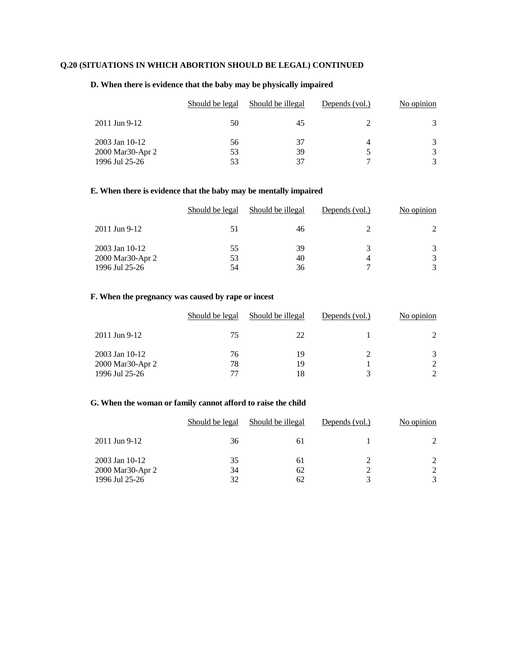# **Q.20 (SITUATIONS IN WHICH ABORTION SHOULD BE LEGAL) CONTINUED**

### **D. When there is evidence that the baby may be physically impaired**

|                  | Should be legal | Should be illegal | Depends (vol.) | No opinion |
|------------------|-----------------|-------------------|----------------|------------|
| 2011 Jun 9-12    | 50              | 45                |                |            |
| 2003 Jan 10-12   | 56              | 37                |                | 3          |
| 2000 Mar30-Apr 2 | 53              | 39                |                | 3          |
| 1996 Jul 25-26   | 53              | 37                |                | 3          |

### **E. When there is evidence that the baby may be mentally impaired**

|                  | Should be legal | Should be illegal | Depends (vol.) | No opinion |
|------------------|-----------------|-------------------|----------------|------------|
| 2011 Jun 9-12    | 51              | 46                |                |            |
| $2003$ Jan 10-12 | 55              | 39                |                |            |
| 2000 Mar30-Apr 2 | 53              | 40                |                |            |
| 1996 Jul 25-26   | 54              | 36                | ⇁              |            |

### **F. When the pregnancy was caused by rape or incest**

|                                                        | Should be legal | Should be illegal | Depends (vol.) | No opinion |
|--------------------------------------------------------|-----------------|-------------------|----------------|------------|
| 2011 Jun 9-12                                          | 75              | 22                |                |            |
| $2003$ Jan 10-12<br>2000 Mar30-Apr 2<br>1996 Jul 25-26 | 76<br>78<br>77  | 19<br>19<br>18    |                |            |

### **G. When the woman or family cannot afford to raise the child**

|                  | Should be legal | Should be illegal | Depends (vol.) | No opinion |
|------------------|-----------------|-------------------|----------------|------------|
| 2011 Jun 9-12    | 36              | 61                |                |            |
| 2003 Jan 10-12   | 35              | 61                |                |            |
| 2000 Mar30-Apr 2 | 34              | 62                |                |            |
| 1996 Jul 25-26   | 32              | 62                |                |            |